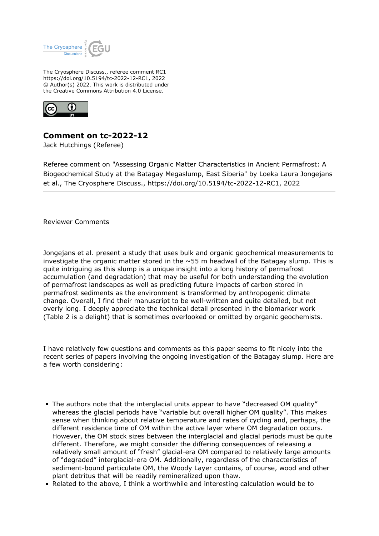

The Cryosphere Discuss., referee comment RC1 https://doi.org/10.5194/tc-2022-12-RC1, 2022 © Author(s) 2022. This work is distributed under the Creative Commons Attribution 4.0 License.



## **Comment on tc-2022-12**

Jack Hutchings (Referee)

Referee comment on "Assessing Organic Matter Characteristics in Ancient Permafrost: A Biogeochemical Study at the Batagay Megaslump, East Siberia" by Loeka Laura Jongejans et al., The Cryosphere Discuss., https://doi.org/10.5194/tc-2022-12-RC1, 2022

Reviewer Comments

Jongejans et al. present a study that uses bulk and organic geochemical measurements to investigate the organic matter stored in the  $\sim$  55 m headwall of the Batagay slump. This is quite intriguing as this slump is a unique insight into a long history of permafrost accumulation (and degradation) that may be useful for both understanding the evolution of permafrost landscapes as well as predicting future impacts of carbon stored in permafrost sediments as the environment is transformed by anthropogenic climate change. Overall, I find their manuscript to be well-written and quite detailed, but not overly long. I deeply appreciate the technical detail presented in the biomarker work (Table 2 is a delight) that is sometimes overlooked or omitted by organic geochemists.

I have relatively few questions and comments as this paper seems to fit nicely into the recent series of papers involving the ongoing investigation of the Batagay slump. Here are a few worth considering:

- The authors note that the interglacial units appear to have "decreased OM quality" whereas the glacial periods have "variable but overall higher OM quality". This makes sense when thinking about relative temperature and rates of cycling and, perhaps, the different residence time of OM within the active layer where OM degradation occurs. However, the OM stock sizes between the interglacial and glacial periods must be quite different. Therefore, we might consider the differing consequences of releasing a relatively small amount of "fresh" glacial-era OM compared to relatively large amounts of "degraded" interglacial-era OM. Additionally, regardless of the characteristics of sediment-bound particulate OM, the Woody Layer contains, of course, wood and other plant detritus that will be readily remineralized upon thaw.
- Related to the above, I think a worthwhile and interesting calculation would be to